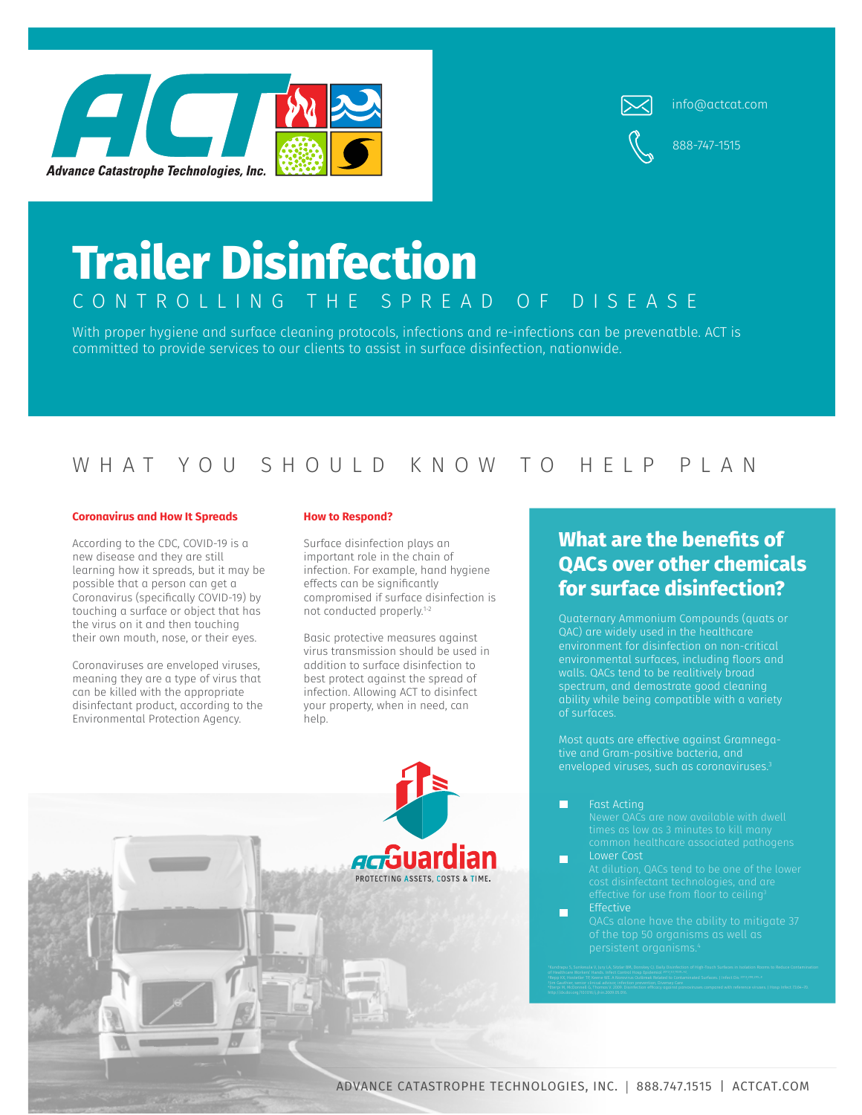



info@actcat.com

888-747-1515

# **Trailer Disinfection** CONTROLLING THE SPREAD OF DISEASE

With proper hygiene and surface cleaning protocols, infections and re-infections can be prevenatble. ACT is committed to provide services to our clients to assist in surface disinfection, nationwide.

### WHAT YOU SHOULD KNOW TO HELP PLAN

#### **Coronavirus and How It Spreads**

According to the CDC, COVID-19 is a new disease and they are still learning how it spreads, but it may be possible that a person can get a Coronavirus (specifically COVID-19) by touching a surface or object that has the virus on it and then touching their own mouth, nose, or their eyes.

Coronaviruses are enveloped viruses, meaning they are a type of virus that can be killed with the appropriate disinfectant product, according to the Environmental Protection Agency.

#### **How to Respond?**

Surface disinfection plays an important role in the chain of infection. For example, hand hygiene effects can be significantly compromised if surface disinfection is not conducted properly.1-2

Basic protective measures against virus transmission should be used in addition to surface disinfection to best protect against the spread of infection. Allowing ACT to disinfect your property, when in need, can help.

PROTECTING ASSETS COSTS &



QAC) are widely used in the healthcare environment for disinfection on non-critical walls. QACs tend to be realitively broad spectrum, and demostrate good cleaning of surfaces.

Most quats are effective against Gramnegaenveloped viruses, such as coronaviruses.<sup>3</sup>

П Fast Acting

- П
- m **Effective**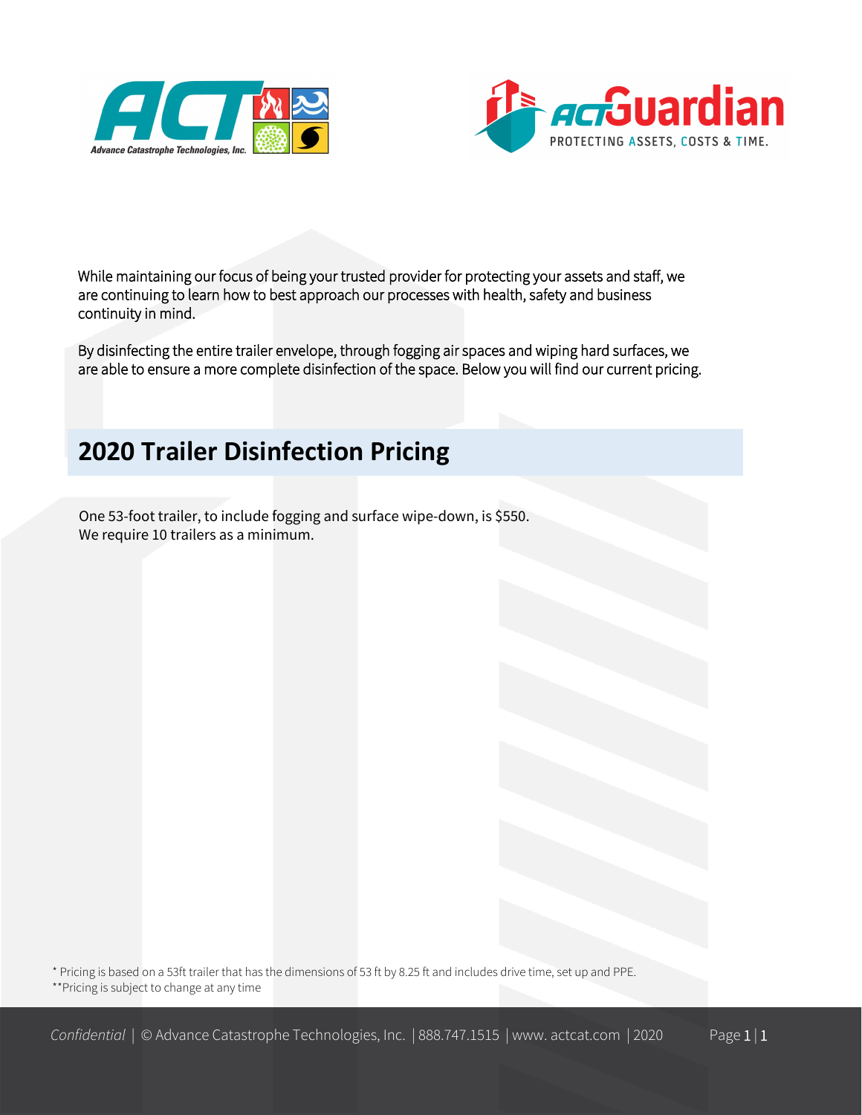



While maintaining our focus of being your trusted provider for protecting your assets and staff, we are continuing to learn how to best approach our processes with health, safety and business continuity in mind.

By disinfecting the entire trailer envelope, through fogging air spaces and wiping hard surfaces, we are able to ensure a more complete disinfection of the space. Below you will find our current pricing.

# **2020 Trailer Disinfection Pricing**

One 53-foot trailer, to include fogging and surface wipe-down, is \$550. We require 10 trailers as a minimum.

\* Pricing is based on a 53ft trailer that has the dimensions of 53 ft by 8.25 ft and includes drive time, set up and PPE. \*\*Pricing is subject to change at any time